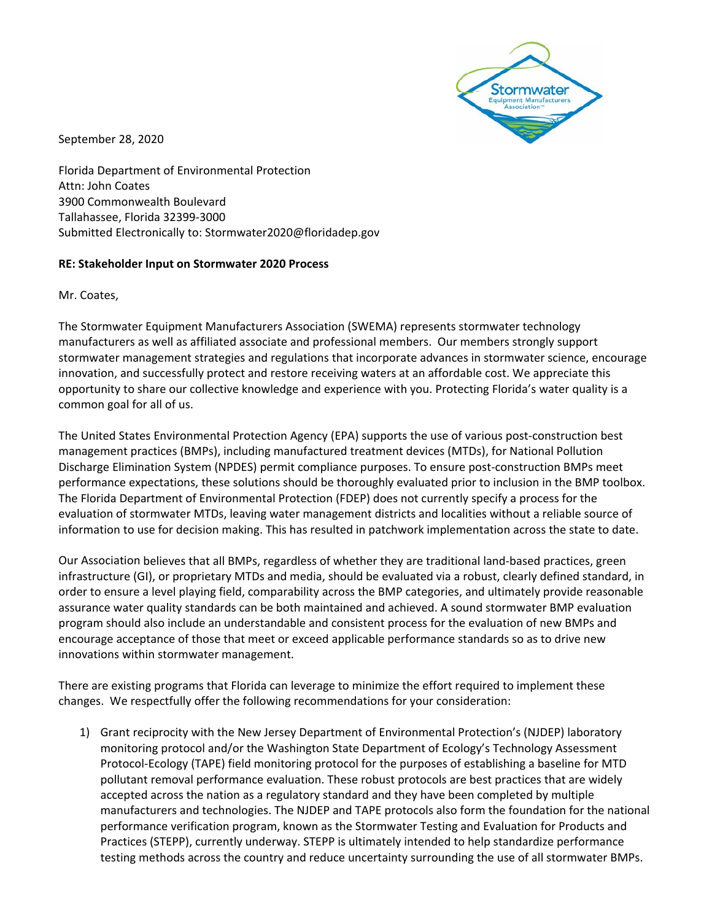

September 28, 2020

Florida Department of Environmental Protection Attn: John Coates 3900 Commonwealth Boulevard Tallahassee, Florida 32399‐3000 Submitted Electronically to: Stormwater2020@floridadep.gov

## **RE: Stakeholder Input on Stormwater 2020 Process**

Mr. Coates,

The Stormwater Equipment Manufacturers Association (SWEMA) represents stormwater technology manufacturers as well as affiliated associate and professional members. Our members strongly support stormwater management strategies and regulations that incorporate advances in stormwater science, encourage innovation, and successfully protect and restore receiving waters at an affordable cost. We appreciate this opportunity to share our collective knowledge and experience with you. Protecting Florida's water quality is a common goal for all of us.

The United States Environmental Protection Agency (EPA) supports the use of various post-construction best management practices (BMPs), including manufactured treatment devices (MTDs), for National Pollution Discharge Elimination System (NPDES) permit compliance purposes. To ensure post-construction BMPs meet performance expectations, these solutions should be thoroughly evaluated prior to inclusion in the BMP toolbox. The Florida Department of Environmental Protection (FDEP) does not currently specify a process for the evaluation of stormwater MTDs, leaving water management districts and localities without a reliable source of information to use for decision making. This has resulted in patchwork implementation across the state to date.

Our Association believes that all BMPs, regardless of whether they are traditional land‐based practices, green infrastructure (GI), or proprietary MTDs and media, should be evaluated via a robust, clearly defined standard, in order to ensure a level playing field, comparability across the BMP categories, and ultimately provide reasonable assurance water quality standards can be both maintained and achieved. A sound stormwater BMP evaluation program should also include an understandable and consistent process for the evaluation of new BMPs and encourage acceptance of those that meet or exceed applicable performance standards so as to drive new innovations within stormwater management.

There are existing programs that Florida can leverage to minimize the effort required to implement these changes. We respectfully offer the following recommendations for your consideration:

1) Grant reciprocity with the New Jersey Department of Environmental Protection's (NJDEP) laboratory monitoring protocol and/or the Washington State Department of Ecology's Technology Assessment Protocol‐Ecology (TAPE) field monitoring protocol for the purposes of establishing a baseline for MTD pollutant removal performance evaluation. These robust protocols are best practices that are widely accepted across the nation as a regulatory standard and they have been completed by multiple manufacturers and technologies. The NJDEP and TAPE protocols also form the foundation for the national performance verification program, known as the Stormwater Testing and Evaluation for Products and Practices (STEPP), currently underway. STEPP is ultimately intended to help standardize performance testing methods across the country and reduce uncertainty surrounding the use of all stormwater BMPs.